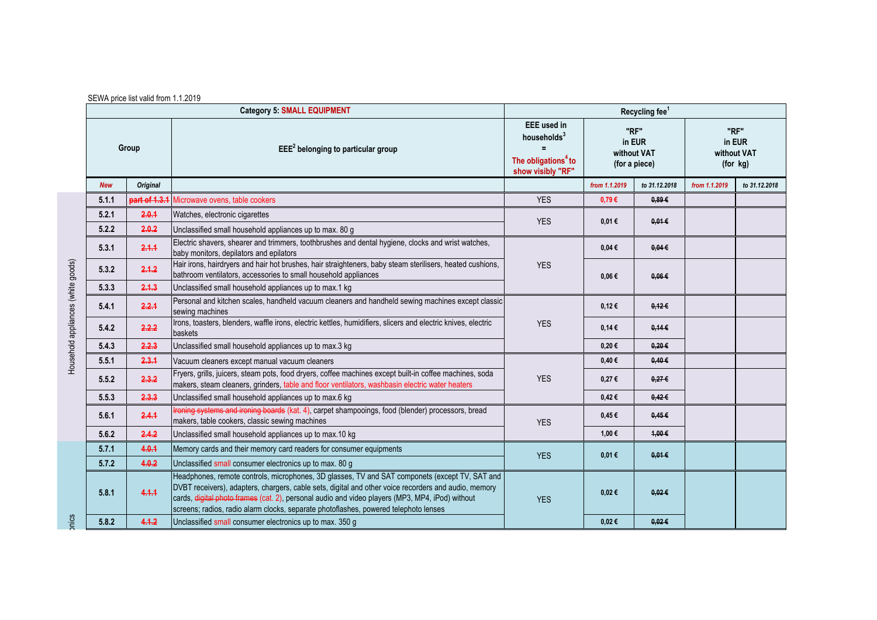|                                    |            | <b>Category 5: SMALL EQUIPMENT</b> |                                                                                                                                                                                                                                                                                                                                                                                                   |                                                                                                              |                                                | Recycling fee <sup>1</sup> |                                           |               |
|------------------------------------|------------|------------------------------------|---------------------------------------------------------------------------------------------------------------------------------------------------------------------------------------------------------------------------------------------------------------------------------------------------------------------------------------------------------------------------------------------------|--------------------------------------------------------------------------------------------------------------|------------------------------------------------|----------------------------|-------------------------------------------|---------------|
|                                    | Group      |                                    | $EEE2$ belonging to particular group                                                                                                                                                                                                                                                                                                                                                              | <b>EEE</b> used in<br>households <sup>3</sup><br>$=$<br>The obligations <sup>4</sup> to<br>show visibly "RF" | "RF"<br>in EUR<br>without VAT<br>(for a piece) |                            | "RF"<br>in EUR<br>without VAT<br>(for kg) |               |
|                                    | <b>New</b> | <b>Original</b>                    |                                                                                                                                                                                                                                                                                                                                                                                                   |                                                                                                              | from 1.1.2019                                  | to 31.12.2018              | from 1.1.2019                             | to 31.12.2018 |
|                                    | 5.1.1      | part of 1.3.1                      | Microwave ovens, table cookers                                                                                                                                                                                                                                                                                                                                                                    | <b>YES</b>                                                                                                   | 0,79€                                          | 0.89E                      |                                           |               |
|                                    | 5.2.1      | 2.0.1                              | Watches, electronic cigarettes                                                                                                                                                                                                                                                                                                                                                                    | <b>YES</b>                                                                                                   | 0,01€                                          | $0.01 \in$                 |                                           |               |
|                                    | 5.2.2      | 2.0.2                              | Unclassified small household appliances up to max. 80 g                                                                                                                                                                                                                                                                                                                                           |                                                                                                              |                                                |                            |                                           |               |
|                                    | 5.3.1      | 2.1.1                              | Electric shavers, shearer and trimmers, toothbrushes and dental hygiene, clocks and wrist watches,<br>baby monitors, depilators and epilators                                                                                                                                                                                                                                                     | <b>YES</b>                                                                                                   | $0.04 \in$                                     | $0.04 \in$                 |                                           |               |
| Household appliances (white goods) | 5.3.2      | 2.1.2                              | Hair irons, hairdryers and hair hot brushes, hair straighteners, baby steam sterilisers, heated cushions,<br>bathroom ventilators, accessories to small household appliances                                                                                                                                                                                                                      |                                                                                                              | $0,06 \in$                                     | $0.06 \in$                 |                                           |               |
|                                    | 5.3.3      | 2.1.3                              | Unclassified small household appliances up to max.1 kg                                                                                                                                                                                                                                                                                                                                            |                                                                                                              |                                                |                            |                                           |               |
|                                    | 5.4.1      | 2.2.1                              | Personal and kitchen scales, handheld vacuum cleaners and handheld sewing machines except classic<br>sewing machines                                                                                                                                                                                                                                                                              | <b>YES</b>                                                                                                   | $0,12 \in$                                     | $0.12 \in$                 |                                           |               |
|                                    | 5.4.2      | 2.2.2                              | Irons, toasters, blenders, waffle irons, electric kettles, humidifiers, slicers and electric knives, electric<br>baskets                                                                                                                                                                                                                                                                          |                                                                                                              | 0,14€                                          | $0.14 \in$                 |                                           |               |
|                                    | 5.4.3      | 2.2.3                              | Unclassified small household appliances up to max.3 kg                                                                                                                                                                                                                                                                                                                                            |                                                                                                              | 0,20€                                          | $0,20 \in$                 |                                           |               |
|                                    | 5.5.1      | 2.3.1                              | Vacuum cleaners except manual vacuum cleaners                                                                                                                                                                                                                                                                                                                                                     |                                                                                                              | 0,40€                                          | $0,40 \in$                 |                                           |               |
|                                    | 5.5.2      | 2.3.2                              | Fryers, grills, juicers, steam pots, food dryers, coffee machines except built-in coffee machines, soda<br>makers, steam cleaners, grinders, table and floor ventilators, washbasin electric water heaters                                                                                                                                                                                        | <b>YES</b>                                                                                                   | 0,27€                                          | $0,27 \in$                 |                                           |               |
|                                    | 5.5.3      | 2.3.3                              | Unclassified small household appliances up to max.6 kg                                                                                                                                                                                                                                                                                                                                            |                                                                                                              | $0,42 \in$                                     | $0.42 \in$                 |                                           |               |
|                                    | 5.6.1      | 2.4.1                              | Ironing systems and ironing boards (kat. 4), carpet shampooings, food (blender) processors, bread<br>makers, table cookers, classic sewing machines                                                                                                                                                                                                                                               | <b>YES</b>                                                                                                   | 0,45 €                                         | 0.45E                      |                                           |               |
|                                    | 5.6.2      | 2.4.2                              | Unclassified small household appliances up to max.10 kg                                                                                                                                                                                                                                                                                                                                           |                                                                                                              | 1,00 €                                         | 4,00€                      |                                           |               |
|                                    | 5.7.1      | 4.0.1                              | Memory cards and their memory card readers for consumer equipments                                                                                                                                                                                                                                                                                                                                | <b>YES</b>                                                                                                   | 0,01€                                          | $0.01 \in$                 |                                           |               |
|                                    | 5.7.2      | 4.0.2                              | Unclassified small consumer electronics up to max. 80 g                                                                                                                                                                                                                                                                                                                                           |                                                                                                              |                                                |                            |                                           |               |
|                                    | 5.8.1      | 4.1.1                              | Headphones, remote controls, microphones, 3D glasses, TV and SAT componets (except TV, SAT and<br>DVBT receivers), adapters, chargers, cable sets, digital and other voice recorders and audio, memory<br>cards, digital photo frames (cat. 2), personal audio and video players (MP3, MP4, iPod) without<br>screens; radios, radio alarm clocks, separate photoflashes, powered telephoto lenses | <b>YES</b>                                                                                                   | 0,02€                                          | $0.02 \in$                 |                                           |               |
| prics                              | 5.8.2      | 4.1.2                              | Unclassified small consumer electronics up to max. 350 g                                                                                                                                                                                                                                                                                                                                          |                                                                                                              | 0,02€                                          | $0.02 \in$                 |                                           |               |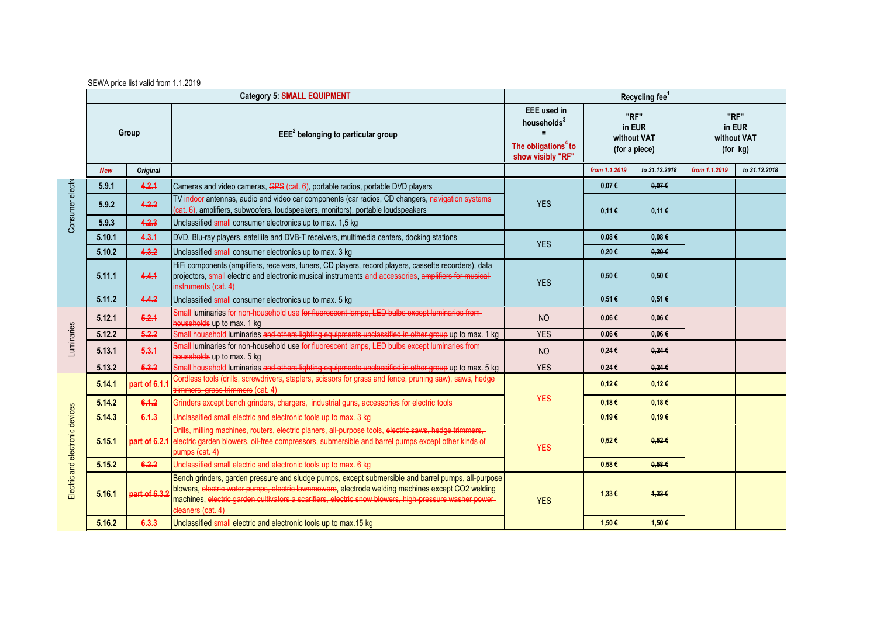| SEWA price list valid from 1.1.2019 |  |  |
|-------------------------------------|--|--|
|-------------------------------------|--|--|

|                                 | <b>Category 5: SMALL EQUIPMENT</b> |                 |                                                                                                                                                                                                                                                                                                                                        | Recycling fee <sup>1</sup>                                                                            |                                                |               |                                           |               |  |
|---------------------------------|------------------------------------|-----------------|----------------------------------------------------------------------------------------------------------------------------------------------------------------------------------------------------------------------------------------------------------------------------------------------------------------------------------------|-------------------------------------------------------------------------------------------------------|------------------------------------------------|---------------|-------------------------------------------|---------------|--|
|                                 | Group                              |                 | $EEE2$ belonging to particular group                                                                                                                                                                                                                                                                                                   | <b>EEE</b> used in<br>households <sup>3</sup><br>The obligations <sup>4</sup> to<br>show visibly "RF" | "RF"<br>in EUR<br>without VAT<br>(for a piece) |               | "RF"<br>in EUR<br>without VAT<br>(for kg) |               |  |
|                                 | <b>New</b>                         | <b>Original</b> |                                                                                                                                                                                                                                                                                                                                        |                                                                                                       | from 1.1.2019                                  | to 31.12.2018 | from 1.1.2019                             | to 31.12.2018 |  |
|                                 | 5.9.1                              | 4.2.1           | Cameras and video cameras, GPS (cat. 6), portable radios, portable DVD players                                                                                                                                                                                                                                                         |                                                                                                       | 0,07€                                          | 0.07E         |                                           |               |  |
| Consumer electro                | 5.9.2                              | 4.2.2           | TV indoor antennas, audio and video car components (car radios, CD changers, navigation systems-<br>(cat. 6), amplifiers, subwoofers, loudspeakers, monitors), portable loudspeakers                                                                                                                                                   | <b>YES</b>                                                                                            | 0.11€                                          | $0.11 \in$    |                                           |               |  |
|                                 | 5.9.3                              | 4.2.3           | Unclassified small consumer electronics up to max. 1,5 kg                                                                                                                                                                                                                                                                              |                                                                                                       |                                                |               |                                           |               |  |
|                                 | 5.10.1                             | 4.3.1           | DVD, Blu-ray players, satellite and DVB-T receivers, multimedia centers, docking stations                                                                                                                                                                                                                                              | <b>YES</b>                                                                                            | 0,08€                                          | $0.08 \in$    |                                           |               |  |
|                                 | 5.10.2                             | 4.3.2           | Unclassified small consumer electronics up to max. 3 kg                                                                                                                                                                                                                                                                                |                                                                                                       | 0,20€                                          | $0,20 \in$    |                                           |               |  |
|                                 | 5.11.1                             | 4.4.1           | HiFi components (amplifiers, receivers, tuners, CD players, record players, cassette recorders), data<br>projectors, small electric and electronic musical instruments and accessories, amplifiers for musical-<br>instruments (cat. 4)                                                                                                | <b>YES</b>                                                                                            | $0,50 \in$                                     | $0.50 \in$    |                                           |               |  |
|                                 | 5.11.2                             | 4.4.2           | Unclassified small consumer electronics up to max. 5 kg                                                                                                                                                                                                                                                                                |                                                                                                       | 0,51€                                          | $0.51 \in$    |                                           |               |  |
|                                 | 5.12.1                             | 5.2.1           | Small luminaries for non-household use for fluorescent lamps, LED bulbs except luminaries from-<br>households up to max. 1 kg                                                                                                                                                                                                          | <b>NO</b>                                                                                             | $0.06 \in$                                     | $0.06 \in$    |                                           |               |  |
|                                 | 5.12.2                             | 5.2.2           | Small household luminaries and others lighting equipments unclassified in other group up to max. 1 kg                                                                                                                                                                                                                                  | <b>YES</b>                                                                                            | 0,06€                                          | $0.06 \in$    |                                           |               |  |
| Luminaries                      | 5.13.1                             | 5.3.1           | Small luminaries for non-household use for fluorescent lamps, LED bulbs except luminaries from-<br>households up to max. 5 kg                                                                                                                                                                                                          | <b>NO</b>                                                                                             | $0,24 \in$                                     | $0,24 \in$    |                                           |               |  |
|                                 | 5.13.2                             | 5.3.2           | Small household luminaries and others lighting equipments unclassified in other group up to max. 5 kg                                                                                                                                                                                                                                  | <b>YES</b>                                                                                            | $0,24 \in$                                     | $0,24 \in$    |                                           |               |  |
|                                 | 5.14.1                             | part of 6.1.    | Cordless tools (drills, screwdrivers, staplers, scissors for grass and fence, pruning saw), saws, hedge-<br>trimmers, grass trimmers (cat. 4)                                                                                                                                                                                          |                                                                                                       | 0,12€                                          | 0,126         |                                           |               |  |
|                                 | 5.14.2                             | 6.1.2           | Grinders except bench grinders, chargers, industrial guns, accessories for electric tools                                                                                                                                                                                                                                              | <b>YES</b>                                                                                            | 0,18€                                          | $0.18 \in$    |                                           |               |  |
|                                 | 5.14.3                             | 6.1.3           | Unclassified small electric and electronic tools up to max. 3 kg                                                                                                                                                                                                                                                                       |                                                                                                       | 0,19€                                          | 0.19E         |                                           |               |  |
| Electric and electronic devices | 5.15.1                             | part of 6.2.1   | Drills, milling machines, routers, electric planers, all-purpose tools, electric saws, hedge trimmers,<br>electric garden blowers, oil-free compressors, submersible and barrel pumps except other kinds of<br>pumps (cat. 4)                                                                                                          | <b>YES</b>                                                                                            | $0,52 \in$                                     | $0.52 \in$    |                                           |               |  |
|                                 | 5.15.2                             | 6.2.2           | Unclassified small electric and electronic tools up to max. 6 kg                                                                                                                                                                                                                                                                       |                                                                                                       | $0,58 \in$                                     | $0.58 \in$    |                                           |               |  |
|                                 | 5.16.1                             | part of 6.3.    | Bench grinders, garden pressure and sludge pumps, except submersible and barrel pumps, all-purpose<br>blowers, electric water pumps, electric lawnmowers, electrode welding machines except CO2 welding<br>machines, electric garden cultivators a scarifiers, electric snow blowers, high-pressure washer power-<br>eleaners (cat. 4) | <b>YES</b>                                                                                            | 1,33€                                          | 4,336         |                                           |               |  |
|                                 | 5.16.2                             | 6,3,3           | Unclassified small electric and electronic tools up to max.15 kg                                                                                                                                                                                                                                                                       |                                                                                                       | 1,50 €                                         | 4,50 €        |                                           |               |  |